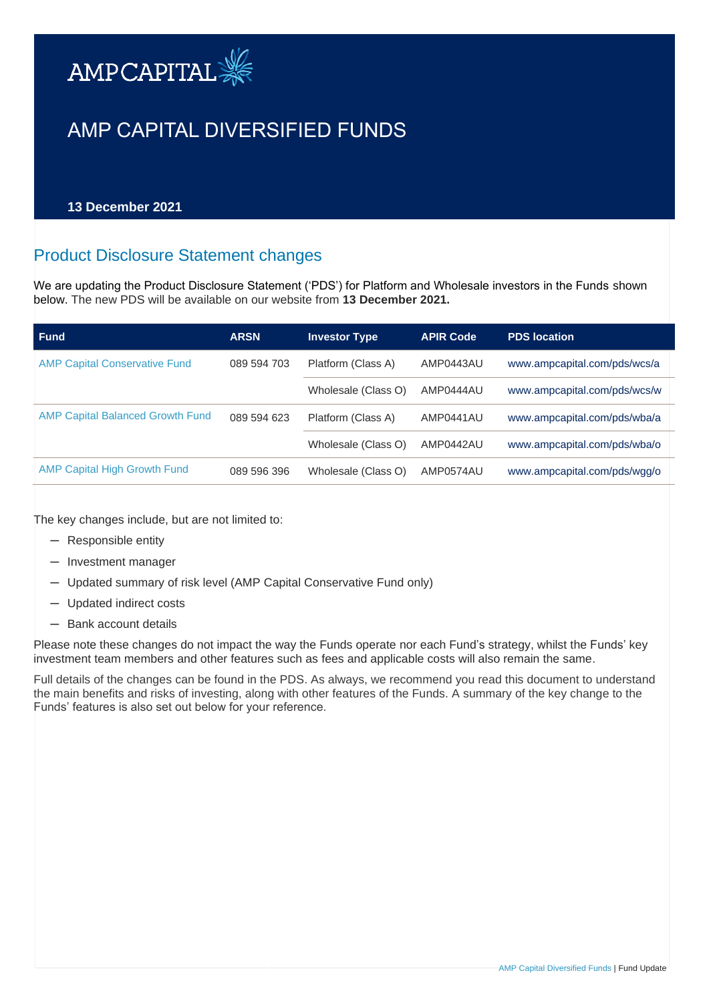

# AMP CAPITAL DIVERSIFIED FUNDS

**13 December 2021**

# Product Disclosure Statement changes

We are updating the Product Disclosure Statement ('PDS') for Platform and Wholesale investors in the Funds shown below. The new PDS will be available on our website from **13 December 2021.**

| <b>Fund</b>                             | <b>ARSN</b> | <b>Investor Type</b> | <b>APIR Code</b> | <b>PDS</b> location          |
|-----------------------------------------|-------------|----------------------|------------------|------------------------------|
| <b>AMP Capital Conservative Fund</b>    | 089 594 703 | Platform (Class A)   | AMP0443AU        | www.ampcapital.com/pds/wcs/a |
|                                         |             | Wholesale (Class O)  | AMP0444AU        | www.ampcapital.com/pds/wcs/w |
| <b>AMP Capital Balanced Growth Fund</b> | 089 594 623 | Platform (Class A)   | AMP0441AU        | www.ampcapital.com/pds/wba/a |
|                                         |             | Wholesale (Class O)  | AMP0442AU        | www.ampcapital.com/pds/wba/o |
| <b>AMP Capital High Growth Fund</b>     | 089 596 396 | Wholesale (Class O)  | AMP0574AU        | www.ampcapital.com/pds/wgg/o |

The key changes include, but are not limited to:

- ─ Responsible entity
- ─ Investment manager
- ─ Updated summary of risk level (AMP Capital Conservative Fund only)
- ─ Updated indirect costs
- ─ Bank account details

Please note these changes do not impact the way the Funds operate nor each Fund's strategy, whilst the Funds' key investment team members and other features such as fees and applicable costs will also remain the same.

Full details of the changes can be found in the PDS. As always, we recommend you read this document to understand the main benefits and risks of investing, along with other features of the Funds. A summary of the key change to the Funds' features is also set out below for your reference.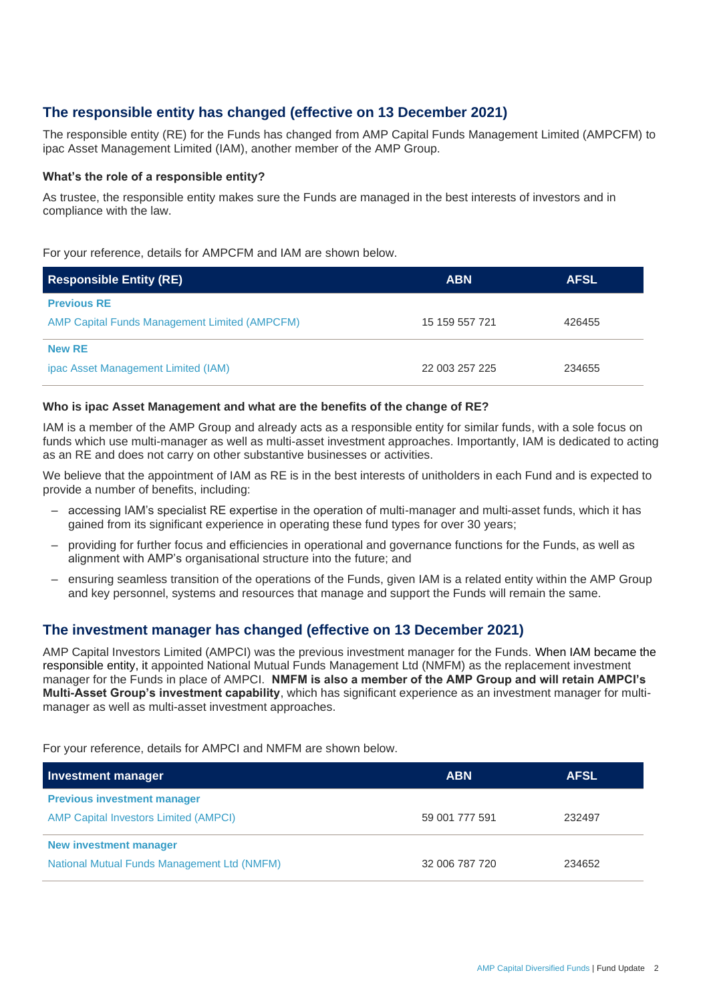# **The responsible entity has changed (effective on 13 December 2021)**

The responsible entity (RE) for the Funds has changed from AMP Capital Funds Management Limited (AMPCFM) to ipac Asset Management Limited (IAM), another member of the AMP Group.

### **What's the role of a responsible entity?**

As trustee, the responsible entity makes sure the Funds are managed in the best interests of investors and in compliance with the law.

For your reference, details for AMPCFM and IAM are shown below.

| <b>Responsible Entity (RE)</b>                       | <b>ABN</b>     | <b>AFSL</b> |
|------------------------------------------------------|----------------|-------------|
| <b>Previous RE</b>                                   |                |             |
| <b>AMP Capital Funds Management Limited (AMPCFM)</b> | 15 159 557 721 | 426455      |
| <b>New RE</b>                                        |                |             |
| ipac Asset Management Limited (IAM)                  | 22 003 257 225 | 234655      |

### **Who is ipac Asset Management and what are the benefits of the change of RE?**

IAM is a member of the AMP Group and already acts as a responsible entity for similar funds, with a sole focus on funds which use multi-manager as well as multi-asset investment approaches. Importantly, IAM is dedicated to acting as an RE and does not carry on other substantive businesses or activities.

We believe that the appointment of IAM as RE is in the best interests of unitholders in each Fund and is expected to provide a number of benefits, including:

- accessing IAM's specialist RE expertise in the operation of multi-manager and multi-asset funds, which it has gained from its significant experience in operating these fund types for over 30 years;
- providing for further focus and efficiencies in operational and governance functions for the Funds, as well as alignment with AMP's organisational structure into the future; and
- ensuring seamless transition of the operations of the Funds, given IAM is a related entity within the AMP Group and key personnel, systems and resources that manage and support the Funds will remain the same.

# **The investment manager has changed (effective on 13 December 2021)**

AMP Capital Investors Limited (AMPCI) was the previous investment manager for the Funds. When IAM became the responsible entity, it appointed National Mutual Funds Management Ltd (NMFM) as the replacement investment manager for the Funds in place of AMPCI. **NMFM is also a member of the AMP Group and will retain AMPCI's Multi-Asset Group's investment capability**, which has significant experience as an investment manager for multimanager as well as multi-asset investment approaches.

For your reference, details for AMPCI and NMFM are shown below.

| <b>Investment manager</b>                    | <b>ABN</b>     | <b>AFSL</b> |
|----------------------------------------------|----------------|-------------|
| <b>Previous investment manager</b>           |                |             |
| <b>AMP Capital Investors Limited (AMPCI)</b> | 59 001 777 591 | 232497      |
| <b>New investment manager</b>                |                |             |
| National Mutual Funds Management Ltd (NMFM)  | 32 006 787 720 | 234652      |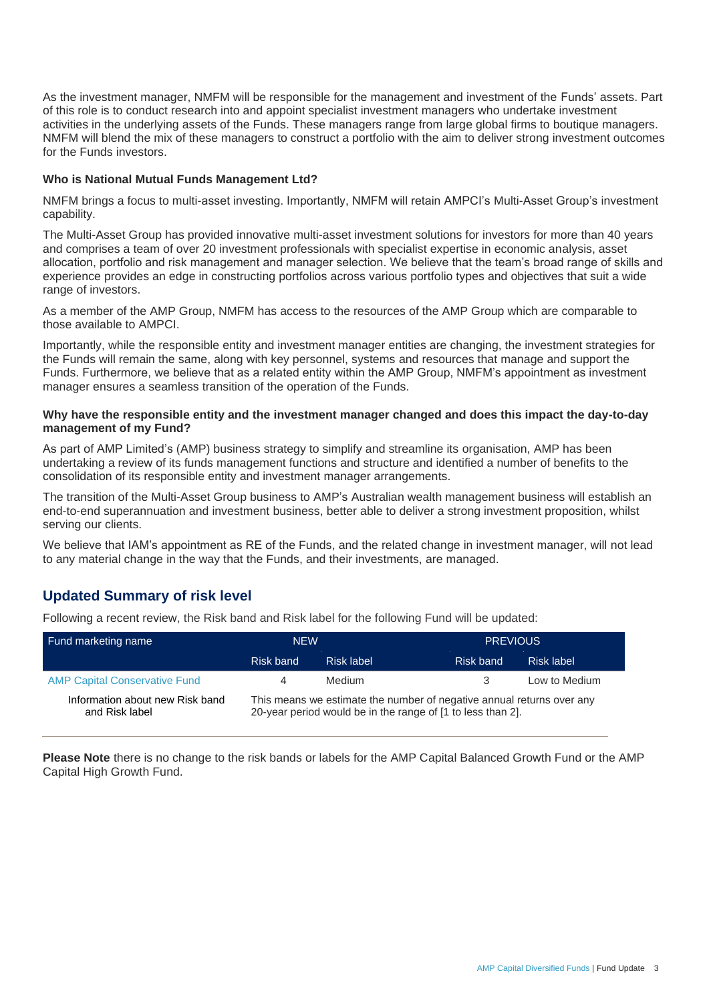As the investment manager, NMFM will be responsible for the management and investment of the Funds' assets. Part of this role is to conduct research into and appoint specialist investment managers who undertake investment activities in the underlying assets of the Funds. These managers range from large global firms to boutique managers. NMFM will blend the mix of these managers to construct a portfolio with the aim to deliver strong investment outcomes for the Funds investors.

### **Who is National Mutual Funds Management Ltd?**

NMFM brings a focus to multi-asset investing. Importantly, NMFM will retain AMPCI's Multi-Asset Group's investment capability.

The Multi-Asset Group has provided innovative multi-asset investment solutions for investors for more than 40 years and comprises a team of over 20 investment professionals with specialist expertise in economic analysis, asset allocation, portfolio and risk management and manager selection. We believe that the team's broad range of skills and experience provides an edge in constructing portfolios across various portfolio types and objectives that suit a wide range of investors.

As a member of the AMP Group, NMFM has access to the resources of the AMP Group which are comparable to those available to AMPCI.

Importantly, while the responsible entity and investment manager entities are changing, the investment strategies for the Funds will remain the same, along with key personnel, systems and resources that manage and support the Funds. Furthermore, we believe that as a related entity within the AMP Group, NMFM's appointment as investment manager ensures a seamless transition of the operation of the Funds.

### **Why have the responsible entity and the investment manager changed and does this impact the day-to-day management of my Fund?**

As part of AMP Limited's (AMP) business strategy to simplify and streamline its organisation, AMP has been undertaking a review of its funds management functions and structure and identified a number of benefits to the consolidation of its responsible entity and investment manager arrangements.

The transition of the Multi-Asset Group business to AMP's Australian wealth management business will establish an end-to-end superannuation and investment business, better able to deliver a strong investment proposition, whilst serving our clients.

We believe that IAM's appointment as RE of the Funds, and the related change in investment manager, will not lead to any material change in the way that the Funds, and their investments, are managed.

# **Updated Summary of risk level**

Following a recent review, the Risk band and Risk label for the following Fund will be updated:

| Fund marketing name                               | <b>NEW</b>                                                                                                                           |            | <b>PREVIOUS</b> |               |
|---------------------------------------------------|--------------------------------------------------------------------------------------------------------------------------------------|------------|-----------------|---------------|
|                                                   | Risk band                                                                                                                            | Risk label | Risk band       | Risk label    |
| <b>AMP Capital Conservative Fund</b>              | 4                                                                                                                                    | Medium     |                 | Low to Medium |
| Information about new Risk band<br>and Risk label | This means we estimate the number of negative annual returns over any<br>20-year period would be in the range of [1 to less than 2]. |            |                 |               |

**Please Note** there is no change to the risk bands or labels for the AMP Capital Balanced Growth Fund or the AMP Capital High Growth Fund.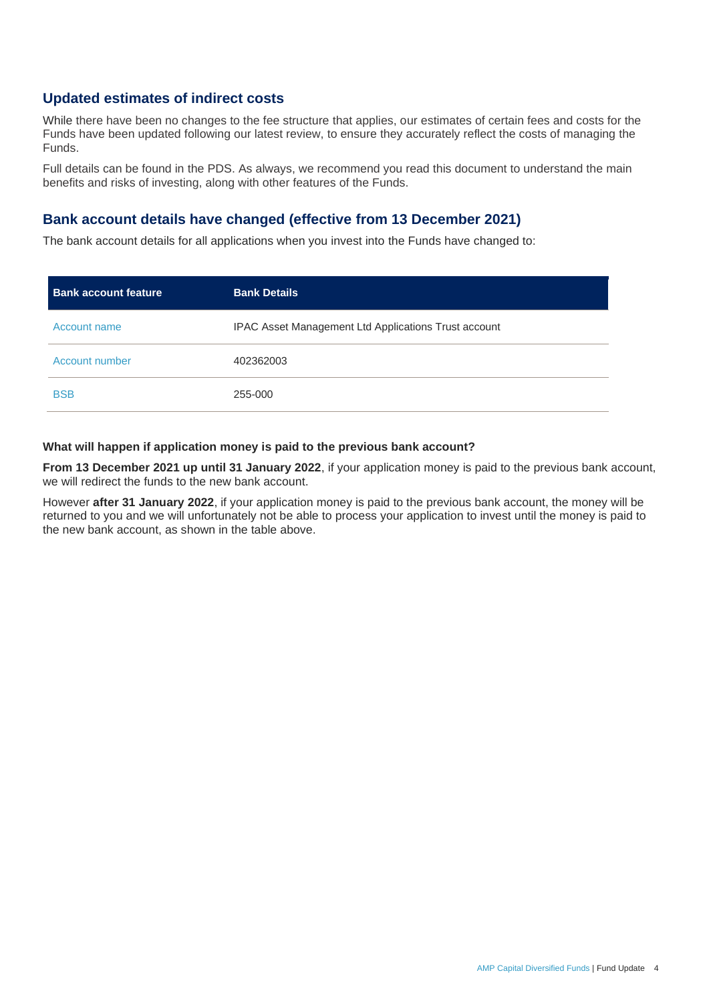## **Updated estimates of indirect costs**

While there have been no changes to the fee structure that applies, our estimates of certain fees and costs for the Funds have been updated following our latest review, to ensure they accurately reflect the costs of managing the Funds.

Full details can be found in the PDS. As always, we recommend you read this document to understand the main benefits and risks of investing, along with other features of the Funds.

# **Bank account details have changed (effective from 13 December 2021)**

The bank account details for all applications when you invest into the Funds have changed to:

| <b>Bank account feature</b> | <b>Bank Details</b>                                  |  |
|-----------------------------|------------------------------------------------------|--|
| Account name                | IPAC Asset Management Ltd Applications Trust account |  |
| Account number              | 402362003                                            |  |
| <b>BSB</b>                  | 255-000                                              |  |

### **What will happen if application money is paid to the previous bank account?**

**From 13 December 2021 up until 31 January 2022**, if your application money is paid to the previous bank account, we will redirect the funds to the new bank account.

However **after 31 January 2022**, if your application money is paid to the previous bank account, the money will be returned to you and we will unfortunately not be able to process your application to invest until the money is paid to the new bank account, as shown in the table above.